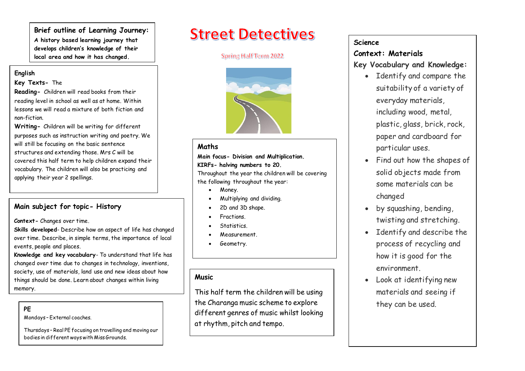**Brief outline of Learning Journey: A history based learning journey that develops children's knowledge of their local area and how it has changed.** 

#### **English**

#### **Key Texts-** The

**Reading-** Children will read books from their reading level in school as well as at home. Within lessons we will read a mixture of both fiction and non-fiction.

**Writing-** Children will be writing for different purposes such as instruction writing and poetry. We will still be focusing on the basic sentence structures and extending those. Mrs C will be covered this half term to help children expand their vocabulary. The children will also be practicing and applying their year 2 spellings.

### **Main subject for topic- History**

**Context-** Changes over time.

**Skills developed**- Describe how an aspect of life has changed over time. Describe, in simple terms, the importance of local events, people and places.

**Knowledge and key vocabulary**- To understand that life has changed over time due to changes in technology, inventions, society, use of materials, land use and new ideas about how things should be done. Learn about changes within living memory.

Mondays – External coaches.

Thursdays – Real PE focusing on travelling and moving our bodies in different ways with Miss Grounds.

# **Street Detectives**

#### Spring Half Term 2022



#### **Maths**

#### **Main focus- Division and Multiplication. KIRFs- halving numbers to 20.**

Throughout the year the children will be covering the following throughout the year:

- Money.
- Multiplying and dividing.
- 2D and 3D shape.
- Fractions.
- Statistics.
- Measurement.
- Geometry.

# **Music**

The Charanga music scheme to explore they can be used.<br>PE This half term the children will be using different genres of music whilst looking at rhythm, pitch and tempo.

# **Science**

# **Context: Materials**

# **Key Vocabulary and Knowledge:**

- Identify and compare the suitability of a variety of everyday materials, including wood, metal, plastic, glass, brick, rock, paper and cardboard for particular uses.
- Find out how the shapes of solid objects made from some materials can be changed
- by squashing, bending, twisting and stretching.
- Identify and describe the process of recycling and how it is good for the environment.
- Look at identifying new materials and seeing if